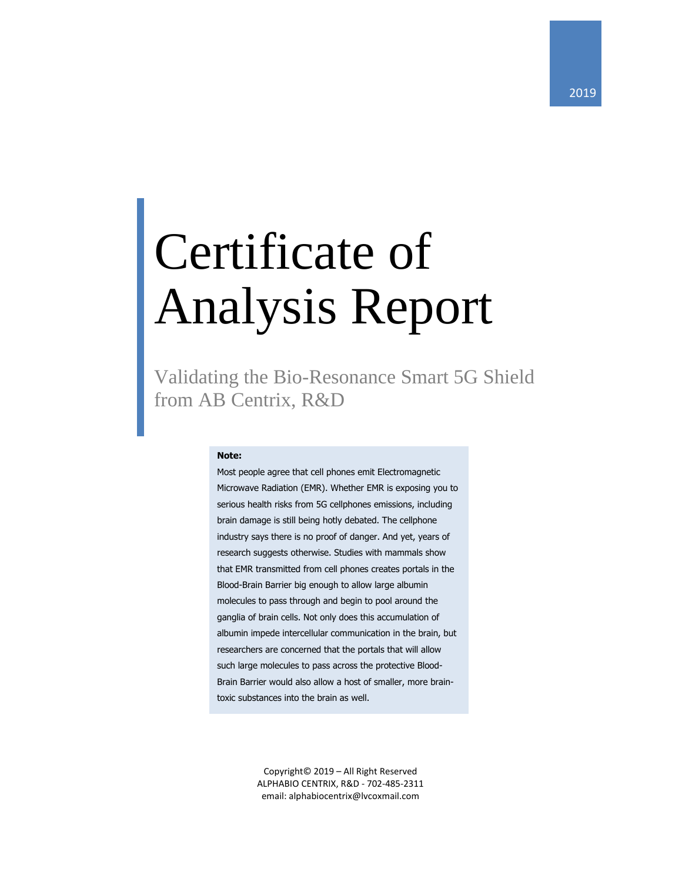# Certificate of Analysis Report

Validating the Bio-Resonance Smart 5G Shield from AB Centrix, R&D

#### **Note:**

Most people agree that cell phones emit Electromagnetic Microwave Radiation (EMR). Whether EMR is exposing you to serious health risks from 5G cellphones emissions, including brain damage is still being hotly debated. The cellphone industry says there is no proof of danger. And yet, years of research suggests otherwise. Studies with mammals show that EMR transmitted from cell phones creates portals in the Blood-Brain Barrier big enough to allow large albumin molecules to pass through and begin to pool around the ganglia of brain cells. Not only does this accumulation of albumin impede intercellular communication in the brain, but researchers are concerned that the portals that will allow such large molecules to pass across the protective Blood-Brain Barrier would also allow a host of smaller, more braintoxic substances into the brain as well.

> Copyright© 2019 – All Right Reserved ALPHABIO CENTRIX, R&D - 702-485-2311 email: alphabiocentrix@lvcoxmail.com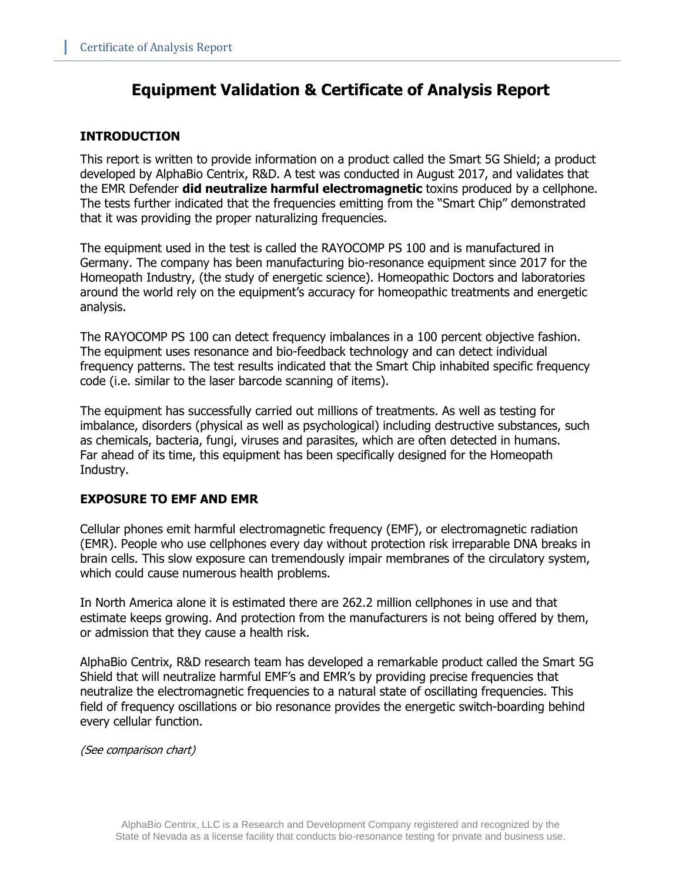# **Equipment Validation & Certificate of Analysis Report**

#### **INTRODUCTION**

This report is written to provide information on a product called the Smart 5G Shield; a product developed by AlphaBio Centrix, R&D. A test was conducted in August 2017, and validates that the EMR Defender **did neutralize harmful electromagnetic** toxins produced by a cellphone. The tests further indicated that the frequencies emitting from the "Smart Chip" demonstrated that it was providing the proper naturalizing frequencies.

The equipment used in the test is called the RAYOCOMP PS 100 and is manufactured in Germany. The company has been manufacturing bio-resonance equipment since 2017 for the Homeopath Industry, (the study of energetic science). Homeopathic Doctors and laboratories around the world rely on the equipment's accuracy for homeopathic treatments and energetic analysis.

The RAYOCOMP PS 100 can detect frequency imbalances in a 100 percent objective fashion. The equipment uses resonance and bio-feedback technology and can detect individual frequency patterns. The test results indicated that the Smart Chip inhabited specific frequency code (i.e. similar to the laser barcode scanning of items).

The equipment has successfully carried out millions of treatments. As well as testing for imbalance, disorders (physical as well as psychological) including destructive substances, such as chemicals, bacteria, fungi, viruses and parasites, which are often detected in humans. Far ahead of its time, this equipment has been specifically designed for the Homeopath Industry.

#### **EXPOSURE TO EMF AND EMR**

Cellular phones emit harmful electromagnetic frequency (EMF), or electromagnetic radiation (EMR). People who use cellphones every day without protection risk irreparable DNA breaks in brain cells. This slow exposure can tremendously impair membranes of the circulatory system, which could cause numerous health problems.

In North America alone it is estimated there are 262.2 million cellphones in use and that estimate keeps growing. And protection from the manufacturers is not being offered by them, or admission that they cause a health risk.

AlphaBio Centrix, R&D research team has developed a remarkable product called the Smart 5G Shield that will neutralize harmful EMF's and EMR's by providing precise frequencies that neutralize the electromagnetic frequencies to a natural state of oscillating frequencies. This field of frequency oscillations or bio resonance provides the energetic switch-boarding behind every cellular function.

(See comparison chart)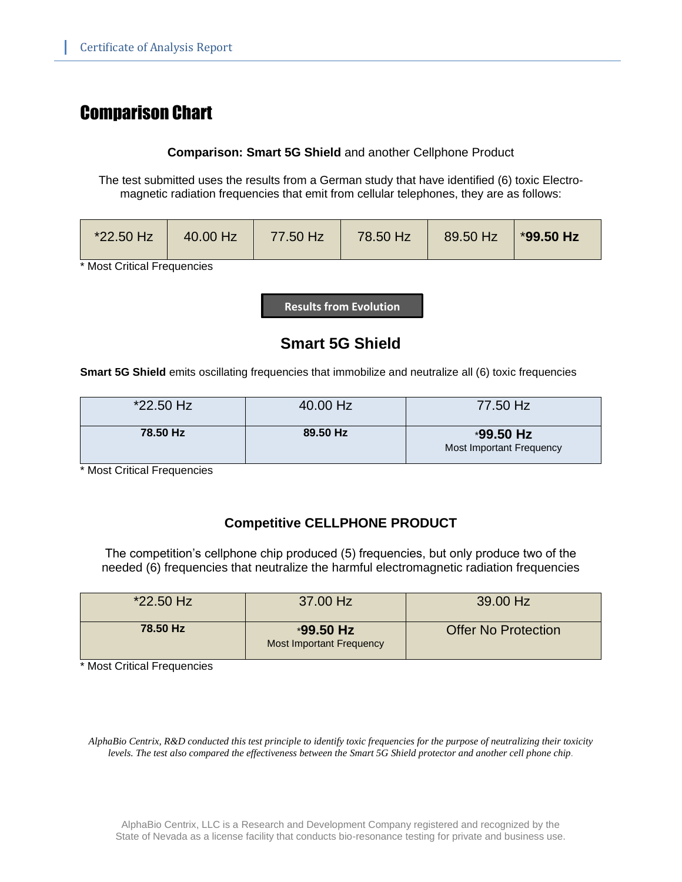# Comparison Chart

#### **Comparison: Smart 5G Shield** and another Cellphone Product

The test submitted uses the results from a German study that have identified (6) toxic Electromagnetic radiation frequencies that emit from cellular telephones, they are as follows:

| $*22.50$ Hz | 40.00 Hz | 77.50 Hz | 78.50 Hz | 89.50 Hz | <sup>*</sup> 99.50 Hz |
|-------------|----------|----------|----------|----------|-----------------------|
|-------------|----------|----------|----------|----------|-----------------------|

\* Most Critical Frequencies

**Results from Evolution**

# **Smart 5G Shield**

**Smart 5G Shield** emits oscillating frequencies that immobilize and neutralize all (6) toxic frequencies

| *22.50 Hz | 40.00 Hz | 77.50 Hz                              |
|-----------|----------|---------------------------------------|
| 78.50 Hz  | 89.50 Hz | *99.50 Hz<br>Most Important Frequency |

\* Most Critical Frequencies

# **Competitive CELLPHONE PRODUCT**

The competition's cellphone chip produced (5) frequencies, but only produce two of the needed (6) frequencies that neutralize the harmful electromagnetic radiation frequencies

| *22.50 Hz | 37.00 Hz                                       | 39.00 Hz                   |
|-----------|------------------------------------------------|----------------------------|
| 78.50 Hz  | $*99.50$ Hz<br><b>Most Important Frequency</b> | <b>Offer No Protection</b> |

\* Most Critical Frequencies

*AlphaBio Centrix, R&D conducted this test principle to identify toxic frequencies for the purpose of neutralizing their toxicity levels. The test also compared the effectiveness between the Smart 5G Shield protector and another cell phone chip.*

AlphaBio Centrix, LLC is a Research and Development Company registered and recognized by the State of Nevada as a license facility that conducts bio-resonance testing for private and business use.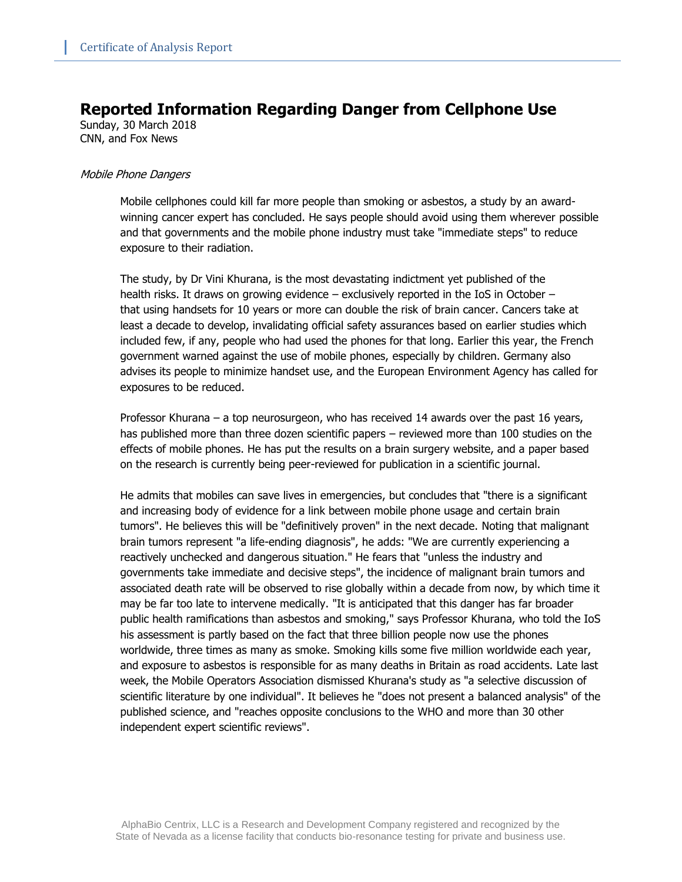# **Reported Information Regarding Danger from Cellphone Use**

Sunday, 30 March 2018 CNN, and Fox News

#### Mobile Phone Dangers

Mobile cellphones could kill far more people than smoking or asbestos, a study by an awardwinning cancer expert has concluded. He says people should avoid using them wherever possible and that governments and the mobile phone industry must take "immediate steps" to reduce exposure to their radiation.

The study, by Dr Vini Khurana, is the most devastating indictment yet published of the health risks. It draws on growing evidence – exclusively reported in the IoS in October – that using handsets for 10 years or more can double the risk of brain cancer. Cancers take at least a decade to develop, invalidating official safety assurances based on earlier studies which included few, if any, people who had used the phones for that long. Earlier this year, the French government warned against the use of mobile phones, especially by children. Germany also advises its people to minimize handset use, and the European Environment Agency has called for exposures to be reduced.

Professor Khurana – a top neurosurgeon, who has received 14 awards over the past 16 years, has published more than three dozen scientific papers – reviewed more than 100 studies on the effects of mobile phones. He has put the results on a brain surgery website, and a paper based on the research is currently being peer-reviewed for publication in a scientific journal.

He admits that mobiles can save lives in emergencies, but concludes that "there is a significant and increasing body of evidence for a link between mobile phone usage and certain brain tumors". He believes this will be "definitively proven" in the next decade. Noting that malignant brain tumors represent "a life-ending diagnosis", he adds: "We are currently experiencing a reactively unchecked and dangerous situation." He fears that "unless the industry and governments take immediate and decisive steps", the incidence of malignant brain tumors and associated death rate will be observed to rise globally within a decade from now, by which time it may be far too late to intervene medically. "It is anticipated that this danger has far broader public health ramifications than asbestos and smoking," says Professor Khurana, who told the IoS his assessment is partly based on the fact that three billion people now use the phones worldwide, three times as many as smoke. Smoking kills some five million worldwide each year, and exposure to asbestos is responsible for as many deaths in Britain as road accidents. Late last week, the Mobile Operators Association dismissed Khurana's study as "a selective discussion of scientific literature by one individual". It believes he "does not present a balanced analysis" of the published science, and "reaches opposite conclusions to the WHO and more than 30 other independent expert scientific reviews".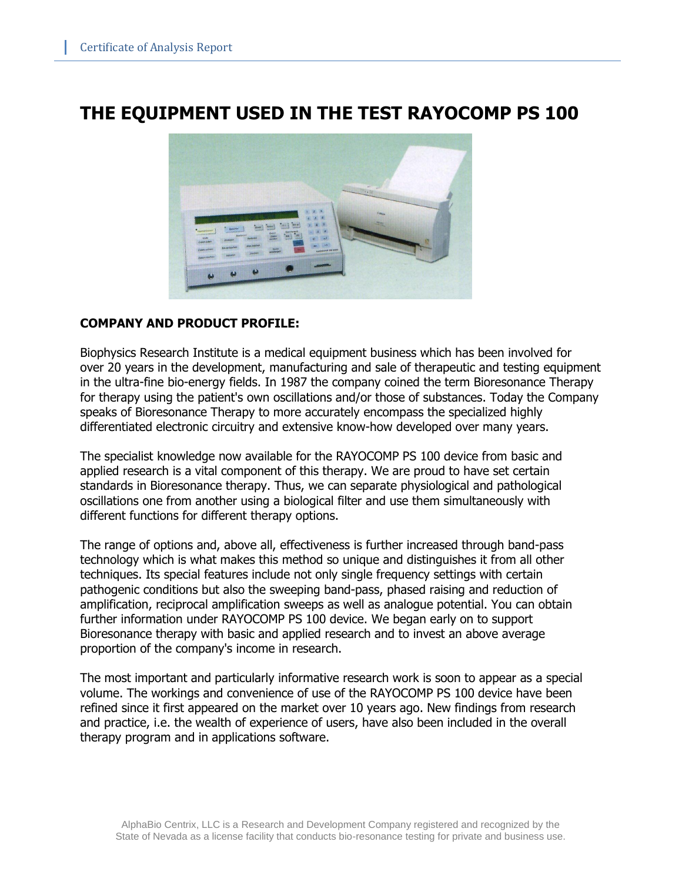# **THE EQUIPMENT USED IN THE TEST RAYOCOMP PS 100**



#### **COMPANY AND PRODUCT PROFILE:**

Biophysics Research Institute is a medical equipment business which has been involved for over 20 years in the development, manufacturing and sale of therapeutic and testing equipment in the ultra-fine bio-energy fields. In 1987 the company coined the term Bioresonance Therapy for therapy using the patient's own oscillations and/or those of substances. Today the Company speaks of Bioresonance Therapy to more accurately encompass the specialized highly differentiated electronic circuitry and extensive know-how developed over many years.

The specialist knowledge now available for the RAYOCOMP PS 100 device from basic and applied research is a vital component of this therapy. We are proud to have set certain standards in Bioresonance therapy. Thus, we can separate physiological and pathological oscillations one from another using a biological filter and use them simultaneously with different functions for different therapy options.

The range of options and, above all, effectiveness is further increased through band-pass technology which is what makes this method so unique and distinguishes it from all other techniques. Its special features include not only single frequency settings with certain pathogenic conditions but also the sweeping band-pass, phased raising and reduction of amplification, reciprocal amplification sweeps as well as analogue potential. You can obtain further information under RAYOCOMP PS 100 device. We began early on to support Bioresonance therapy with basic and applied research and to invest an above average proportion of the company's income in research.

The most important and particularly informative research work is soon to appear as a special volume. The workings and convenience of use of the RAYOCOMP PS 100 device have been refined since it first appeared on the market over 10 years ago. New findings from research and practice, i.e. the wealth of experience of users, have also been included in the overall therapy program and in applications software.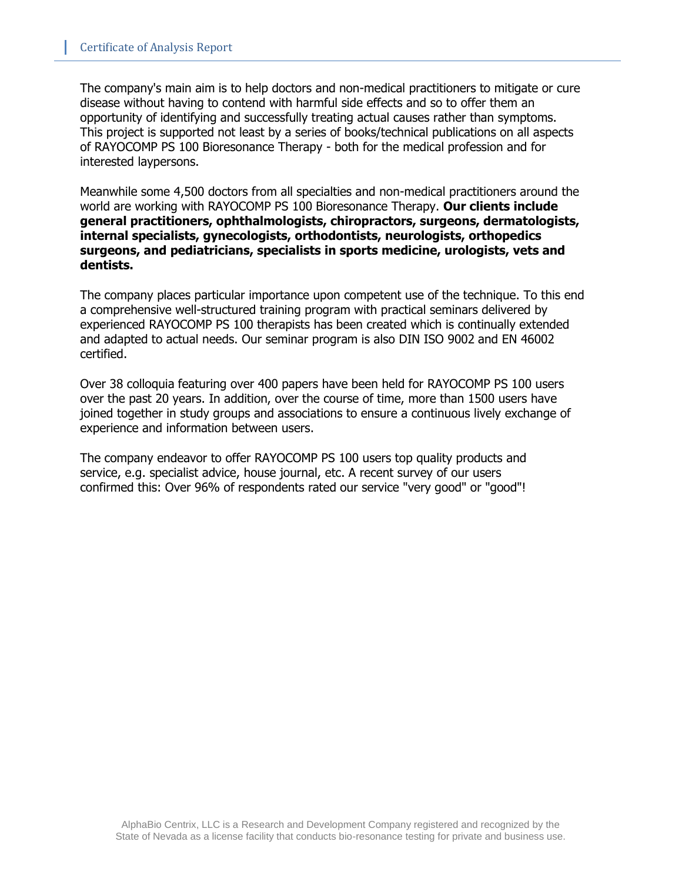The company's main aim is to help doctors and non-medical practitioners to mitigate or cure disease without having to contend with harmful side effects and so to offer them an opportunity of identifying and successfully treating actual causes rather than symptoms. This project is supported not least by a series of books/technical publications on all aspects of RAYOCOMP PS 100 Bioresonance Therapy - both for the medical profession and for interested laypersons.

Meanwhile some 4,500 doctors from all specialties and non-medical practitioners around the world are working with RAYOCOMP PS 100 Bioresonance Therapy. **Our clients include general practitioners, ophthalmologists, chiropractors, surgeons, dermatologists, internal specialists, gynecologists, orthodontists, neurologists, orthopedics surgeons, and pediatricians, specialists in sports medicine, urologists, vets and dentists.**

The company places particular importance upon competent use of the technique. To this end a comprehensive well-structured training program with practical seminars delivered by experienced RAYOCOMP PS 100 therapists has been created which is continually extended and adapted to actual needs. Our seminar program is also DIN ISO 9002 and EN 46002 certified.

Over 38 colloquia featuring over 400 papers have been held for RAYOCOMP PS 100 users over the past 20 years. In addition, over the course of time, more than 1500 users have joined together in study groups and associations to ensure a continuous lively exchange of experience and information between users.

The company endeavor to offer RAYOCOMP PS 100 users top quality products and service, e.g. specialist advice, house journal, etc. A recent survey of our users confirmed this: Over 96% of respondents rated our service "very good" or "good"!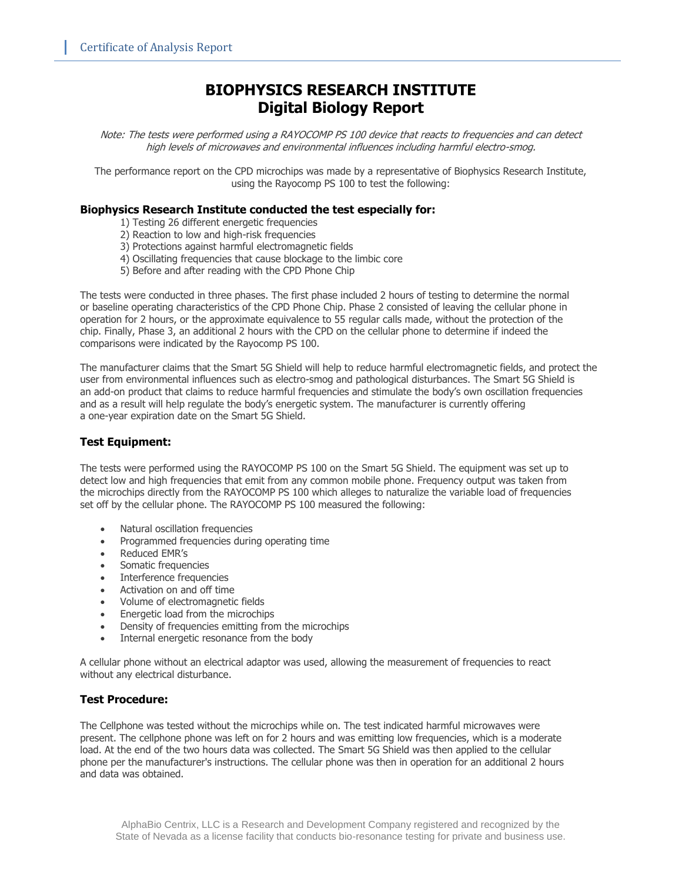# **BIOPHYSICS RESEARCH INSTITUTE Digital Biology Report**

Note: The tests were performed using a RAYOCOMP PS 100 device that reacts to frequencies and can detect high levels of microwaves and environmental influences including harmful electro-smog.

The performance report on the CPD microchips was made by a representative of Biophysics Research Institute, using the Rayocomp PS 100 to test the following:

#### **Biophysics Research Institute conducted the test especially for:**

- 1) Testing 26 different energetic frequencies
- 2) Reaction to low and high-risk frequencies
- 3) Protections against harmful electromagnetic fields
- 4) Oscillating frequencies that cause blockage to the limbic core
- 5) Before and after reading with the CPD Phone Chip

The tests were conducted in three phases. The first phase included 2 hours of testing to determine the normal or baseline operating characteristics of the CPD Phone Chip. Phase 2 consisted of leaving the cellular phone in operation for 2 hours, or the approximate equivalence to 55 regular calls made, without the protection of the chip. Finally, Phase 3, an additional 2 hours with the CPD on the cellular phone to determine if indeed the comparisons were indicated by the Rayocomp PS 100.

The manufacturer claims that the Smart 5G Shield will help to reduce harmful electromagnetic fields, and protect the user from environmental influences such as electro-smog and pathological disturbances. The Smart 5G Shield is an add-on product that claims to reduce harmful frequencies and stimulate the body's own oscillation frequencies and as a result will help regulate the body's energetic system. The manufacturer is currently offering a one-year expiration date on the Smart 5G Shield.

#### **Test Equipment:**

The tests were performed using the RAYOCOMP PS 100 on the Smart 5G Shield. The equipment was set up to detect low and high frequencies that emit from any common mobile phone. Frequency output was taken from the microchips directly from the RAYOCOMP PS 100 which alleges to naturalize the variable load of frequencies set off by the cellular phone. The RAYOCOMP PS 100 measured the following:

- Natural oscillation frequencies
- Programmed frequencies during operating time
- Reduced EMR's
- Somatic frequencies
- Interference frequencies
- Activation on and off time
- Volume of electromagnetic fields
- Energetic load from the microchips
- Density of frequencies emitting from the microchips
- Internal energetic resonance from the body

A cellular phone without an electrical adaptor was used, allowing the measurement of frequencies to react without any electrical disturbance.

#### **Test Procedure:**

The Cellphone was tested without the microchips while on. The test indicated harmful microwaves were present. The cellphone phone was left on for 2 hours and was emitting low frequencies, which is a moderate load. At the end of the two hours data was collected. The Smart 5G Shield was then applied to the cellular phone per the manufacturer's instructions. The cellular phone was then in operation for an additional 2 hours and data was obtained.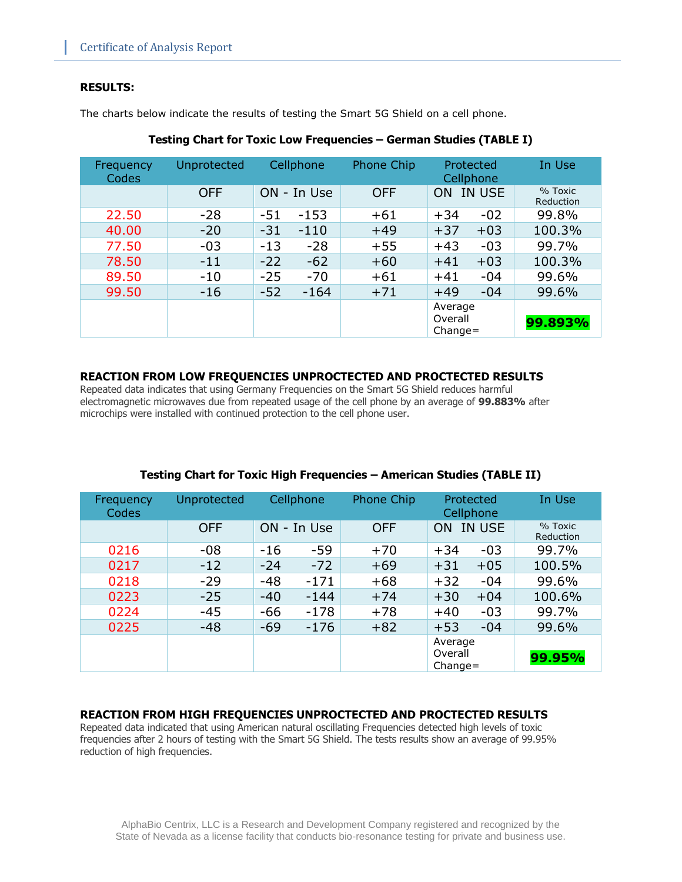#### **RESULTS:**

The charts below indicate the results of testing the Smart 5G Shield on a cell phone.

| Frequency<br>Codes | Unprotected | Cellphone |             | <b>Phone Chip</b> | Protected<br>Cellphone           |        | In Use               |
|--------------------|-------------|-----------|-------------|-------------------|----------------------------------|--------|----------------------|
|                    | <b>OFF</b>  |           | ON - In Use | <b>OFF</b>        | ON.                              | IN USE | % Toxic<br>Reduction |
| 22.50              | $-28$       | $-51$     | $-153$      | $+61$             | $+34$                            | $-02$  | 99.8%                |
| 40.00              | $-20$       | $-31$     | $-110$      | $+49$             | $+37$                            | $+03$  | 100.3%               |
| 77.50              | $-03$       | $-13$     | $-28$       | $+55$             | $+43$                            | $-03$  | 99.7%                |
| 78.50              | $-11$       | $-22$     | $-62$       | $+60$             | $+41$                            | $+03$  | 100.3%               |
| 89.50              | $-10$       | $-25$     | $-70$       | $+61$             | $+41$                            | $-04$  | 99.6%                |
| 99.50              | $-16$       | $-52$     | $-164$      | $+71$             | $+49$                            | $-04$  | 99.6%                |
|                    |             |           |             |                   | Average<br>Overall<br>$Change =$ |        | 99.893%              |

#### **Testing Chart for Toxic Low Frequencies – German Studies (TABLE I)**

#### **REACTION FROM LOW FREQUENCIES UNPROCTECTED AND PROCTECTED RESULTS**

Repeated data indicates that using Germany Frequencies on the Smart 5G Shield reduces harmful electromagnetic microwaves due from repeated usage of the cell phone by an average of **99.883%** after microchips were installed with continued protection to the cell phone user.

| Frequency<br>Codes | Unprotected | Cellphone |             | <b>Phone Chip</b> | Protected<br>Cellphone           |               | In Use               |
|--------------------|-------------|-----------|-------------|-------------------|----------------------------------|---------------|----------------------|
|                    | <b>OFF</b>  |           | ON - In Use | <b>OFF</b>        | <b>ON</b>                        | <b>IN USE</b> | % Toxic<br>Reduction |
| 0216               | $-08$       | $-16$     | $-59$       | $+70$             | $+34$                            | $-03$         | 99.7%                |
| 0217               | $-12$       | $-24$     | $-72$       | $+69$             | $+31$                            | $+05$         | 100.5%               |
| 0218               | $-29$       | $-48$     | $-171$      | $+68$             | $+32$                            | $-04$         | 99.6%                |
| 0223               | $-25$       | $-40$     | $-144$      | $+74$             | $+30$                            | $+04$         | 100.6%               |
| 0224               | $-45$       | $-66$     | $-178$      | $+78$             | $+40$                            | $-03$         | 99.7%                |
| 0225               | $-48$       | $-69$     | $-176$      | $+82$             | $+53$                            | $-04$         | 99.6%                |
|                    |             |           |             |                   | Average<br>Overall<br>$Change =$ |               | 99.95%               |

#### **Testing Chart for Toxic High Frequencies – American Studies (TABLE II)**

#### **REACTION FROM HIGH FREQUENCIES UNPROCTECTED AND PROCTECTED RESULTS**

Repeated data indicated that using American natural oscillating Frequencies detected high levels of toxic frequencies after 2 hours of testing with the Smart 5G Shield. The tests results show an average of 99.95% reduction of high frequencies.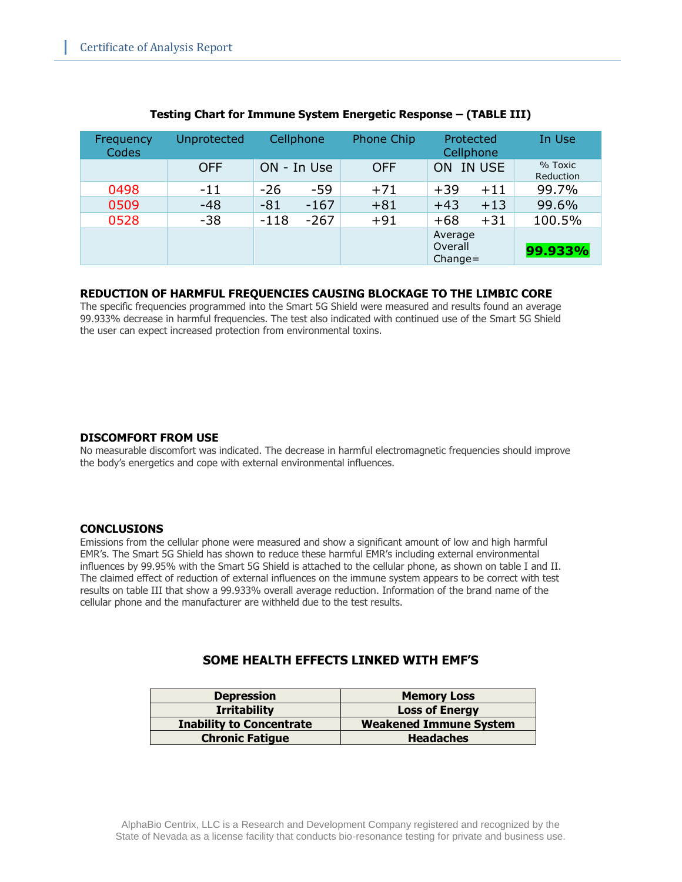| Frequency<br>Codes | Unprotected | Cellphone        | <b>Phone Chip</b> | Protected<br>Cellphone           | In Use               |
|--------------------|-------------|------------------|-------------------|----------------------------------|----------------------|
|                    | <b>OFF</b>  | ON - In Use      | <b>OFF</b>        | <b>IN USE</b><br><b>ON</b>       | % Toxic<br>Reduction |
| 0498               | $-11$       | $-59$<br>$-26$   | $+71$             | $+39$<br>$+11$                   | 99.7%                |
| 0509               | $-48$       | $-81$<br>$-167$  | $+81$             | $+43$<br>$+13$                   | 99.6%                |
| 0528               | $-38$       | $-267$<br>$-118$ | $+91$             | $+68$<br>$+31$                   | 100.5%               |
|                    |             |                  |                   | Average<br>Overall<br>$Change =$ | 99.933%              |

#### **Testing Chart for Immune System Energetic Response – (TABLE III)**

#### **REDUCTION OF HARMFUL FREQUENCIES CAUSING BLOCKAGE TO THE LIMBIC CORE**

The specific frequencies programmed into the Smart 5G Shield were measured and results found an average 99.933% decrease in harmful frequencies. The test also indicated with continued use of the Smart 5G Shield the user can expect increased protection from environmental toxins.

#### **DISCOMFORT FROM USE**

No measurable discomfort was indicated. The decrease in harmful electromagnetic frequencies should improve the body's energetics and cope with external environmental influences.

#### **CONCLUSIONS**

Emissions from the cellular phone were measured and show a significant amount of low and high harmful EMR's. The Smart 5G Shield has shown to reduce these harmful EMR's including external environmental influences by 99.95% with the Smart 5G Shield is attached to the cellular phone, as shown on table I and II. The claimed effect of reduction of external influences on the immune system appears to be correct with test results on table III that show a 99.933% overall average reduction. Information of the brand name of the cellular phone and the manufacturer are withheld due to the test results.

#### **SOME HEALTH EFFECTS LINKED WITH EMF'S**

| <b>Depression</b>               | <b>Memory Loss</b>            |
|---------------------------------|-------------------------------|
| <b>Irritability</b>             | <b>Loss of Energy</b>         |
| <b>Inability to Concentrate</b> | <b>Weakened Immune System</b> |
| <b>Chronic Fatigue</b>          | <b>Headaches</b>              |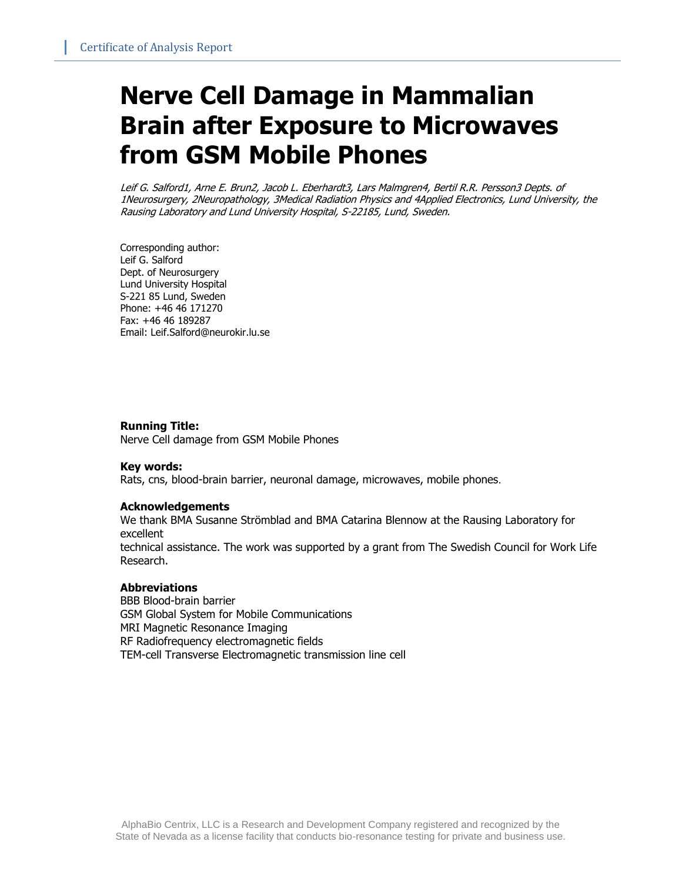# **Nerve Cell Damage in Mammalian Brain after Exposure to Microwaves from GSM Mobile Phones**

Leif G. Salford1, Arne E. Brun2, Jacob L. Eberhardt3, Lars Malmgren4, Bertil R.R. Persson3 Depts. of 1Neurosurgery, 2Neuropathology, 3Medical Radiation Physics and 4Applied Electronics, Lund University, the Rausing Laboratory and Lund University Hospital, S-22185, Lund, Sweden.

Corresponding author: Leif G. Salford Dept. of Neurosurgery Lund University Hospital S-221 85 Lund, Sweden Phone: +46 46 171270 Fax: +46 46 189287 Email: Leif.Salford@neurokir.lu.se

#### **Running Title:**

Nerve Cell damage from GSM Mobile Phones

#### **Key words:**

Rats, cns, blood-brain barrier, neuronal damage, microwaves, mobile phones.

#### **Acknowledgements**

We thank BMA Susanne Strömblad and BMA Catarina Blennow at the Rausing Laboratory for excellent

technical assistance. The work was supported by a grant from The Swedish Council for Work Life Research.

#### **Abbreviations**

BBB Blood-brain barrier GSM Global System for Mobile Communications MRI Magnetic Resonance Imaging RF Radiofrequency electromagnetic fields TEM-cell Transverse Electromagnetic transmission line cell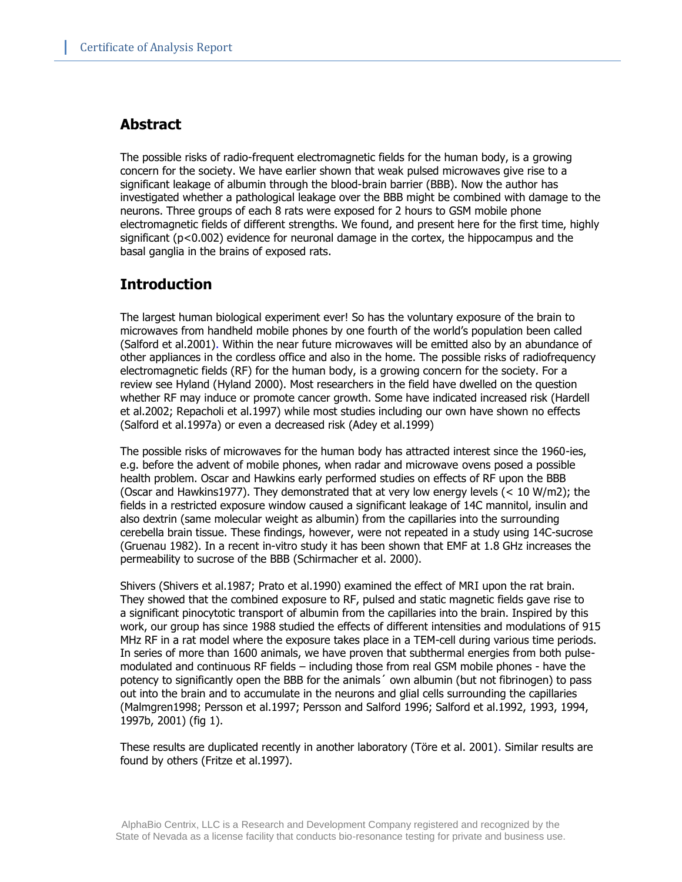# **Abstract**

The possible risks of radio-frequent electromagnetic fields for the human body, is a growing concern for the society. We have earlier shown that weak pulsed microwaves give rise to a significant leakage of albumin through the blood-brain barrier (BBB). Now the author has investigated whether a pathological leakage over the BBB might be combined with damage to the neurons. Three groups of each 8 rats were exposed for 2 hours to GSM mobile phone electromagnetic fields of different strengths. We found, and present here for the first time, highly significant  $(p<0.002)$  evidence for neuronal damage in the cortex, the hippocampus and the basal ganglia in the brains of exposed rats.

# **Introduction**

The largest human biological experiment ever! So has the voluntary exposure of the brain to microwaves from handheld mobile phones by one fourth of the world's population been called (Salford et al.2001). Within the near future microwaves will be emitted also by an abundance of other appliances in the cordless office and also in the home. The possible risks of radiofrequency electromagnetic fields (RF) for the human body, is a growing concern for the society. For a review see Hyland (Hyland 2000). Most researchers in the field have dwelled on the question whether RF may induce or promote cancer growth. Some have indicated increased risk (Hardell et al.2002; Repacholi et al.1997) while most studies including our own have shown no effects (Salford et al.1997a) or even a decreased risk (Adey et al.1999)

The possible risks of microwaves for the human body has attracted interest since the 1960-ies, e.g. before the advent of mobile phones, when radar and microwave ovens posed a possible health problem. Oscar and Hawkins early performed studies on effects of RF upon the BBB (Oscar and Hawkins1977). They demonstrated that at very low energy levels  $(< 10 W/m2$ ); the fields in a restricted exposure window caused a significant leakage of 14C mannitol, insulin and also dextrin (same molecular weight as albumin) from the capillaries into the surrounding cerebella brain tissue. These findings, however, were not repeated in a study using 14C-sucrose (Gruenau 1982). In a recent in-vitro study it has been shown that EMF at 1.8 GHz increases the permeability to sucrose of the BBB (Schirmacher et al. 2000).

Shivers (Shivers et al.1987; Prato et al.1990) examined the effect of MRI upon the rat brain. They showed that the combined exposure to RF, pulsed and static magnetic fields gave rise to a significant pinocytotic transport of albumin from the capillaries into the brain. Inspired by this work, our group has since 1988 studied the effects of different intensities and modulations of 915 MHz RF in a rat model where the exposure takes place in a TEM-cell during various time periods. In series of more than 1600 animals, we have proven that subthermal energies from both pulsemodulated and continuous RF fields – including those from real GSM mobile phones - have the potency to significantly open the BBB for the animals´ own albumin (but not fibrinogen) to pass out into the brain and to accumulate in the neurons and glial cells surrounding the capillaries (Malmgren1998; Persson et al.1997; Persson and Salford 1996; Salford et al.1992, 1993, 1994, 1997b, 2001) (fig 1).

These results are duplicated recently in another laboratory (Töre et al. 2001). Similar results are found by others (Fritze et al.1997).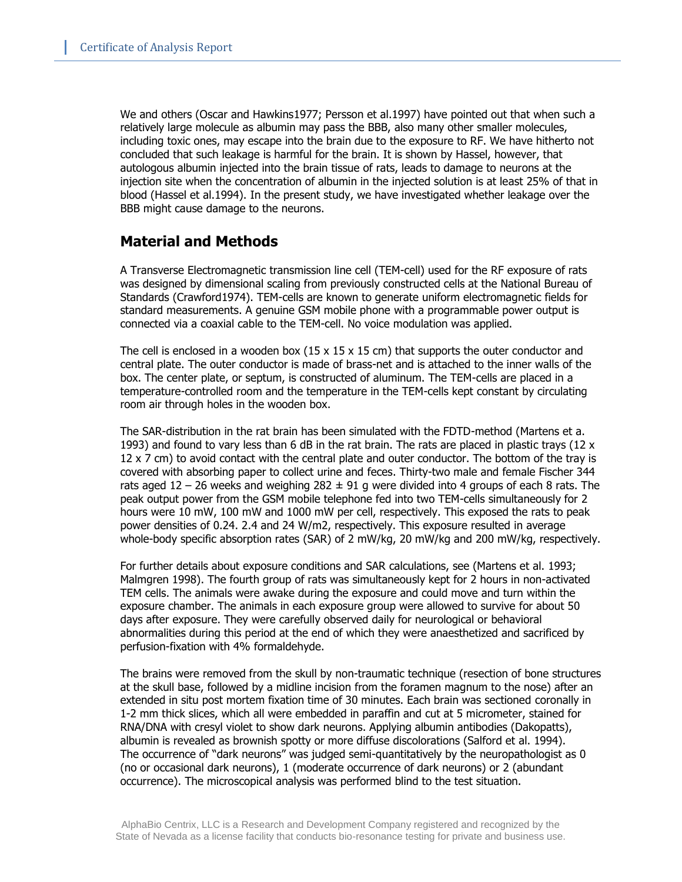We and others (Oscar and Hawkins1977; Persson et al.1997) have pointed out that when such a relatively large molecule as albumin may pass the BBB, also many other smaller molecules, including toxic ones, may escape into the brain due to the exposure to RF. We have hitherto not concluded that such leakage is harmful for the brain. It is shown by Hassel, however, that autologous albumin injected into the brain tissue of rats, leads to damage to neurons at the injection site when the concentration of albumin in the injected solution is at least 25% of that in blood (Hassel et al.1994). In the present study, we have investigated whether leakage over the BBB might cause damage to the neurons.

# **Material and Methods**

A Transverse Electromagnetic transmission line cell (TEM-cell) used for the RF exposure of rats was designed by dimensional scaling from previously constructed cells at the National Bureau of Standards (Crawford1974). TEM-cells are known to generate uniform electromagnetic fields for standard measurements. A genuine GSM mobile phone with a programmable power output is connected via a coaxial cable to the TEM-cell. No voice modulation was applied.

The cell is enclosed in a wooden box  $(15 \times 15 \times 15 \text{ cm})$  that supports the outer conductor and central plate. The outer conductor is made of brass-net and is attached to the inner walls of the box. The center plate, or septum, is constructed of aluminum. The TEM-cells are placed in a temperature-controlled room and the temperature in the TEM-cells kept constant by circulating room air through holes in the wooden box.

The SAR-distribution in the rat brain has been simulated with the FDTD-method (Martens et a. 1993) and found to vary less than 6 dB in the rat brain. The rats are placed in plastic trays (12  $\times$ 12 x 7 cm) to avoid contact with the central plate and outer conductor. The bottom of the tray is covered with absorbing paper to collect urine and feces. Thirty-two male and female Fischer 344 rats aged  $12 - 26$  weeks and weighing  $282 \pm 91$  g were divided into 4 groups of each 8 rats. The peak output power from the GSM mobile telephone fed into two TEM-cells simultaneously for 2 hours were 10 mW, 100 mW and 1000 mW per cell, respectively. This exposed the rats to peak power densities of 0.24. 2.4 and 24 W/m2, respectively. This exposure resulted in average whole-body specific absorption rates (SAR) of 2 mW/kg, 20 mW/kg and 200 mW/kg, respectively.

For further details about exposure conditions and SAR calculations, see (Martens et al. 1993; Malmgren 1998). The fourth group of rats was simultaneously kept for 2 hours in non-activated TEM cells. The animals were awake during the exposure and could move and turn within the exposure chamber. The animals in each exposure group were allowed to survive for about 50 days after exposure. They were carefully observed daily for neurological or behavioral abnormalities during this period at the end of which they were anaesthetized and sacrificed by perfusion-fixation with 4% formaldehyde.

The brains were removed from the skull by non-traumatic technique (resection of bone structures at the skull base, followed by a midline incision from the foramen magnum to the nose) after an extended in situ post mortem fixation time of 30 minutes. Each brain was sectioned coronally in 1-2 mm thick slices, which all were embedded in paraffin and cut at 5 micrometer, stained for RNA/DNA with cresyl violet to show dark neurons. Applying albumin antibodies (Dakopatts), albumin is revealed as brownish spotty or more diffuse discolorations (Salford et al. 1994). The occurrence of "dark neurons" was judged semi-quantitatively by the neuropathologist as 0 (no or occasional dark neurons), 1 (moderate occurrence of dark neurons) or 2 (abundant occurrence). The microscopical analysis was performed blind to the test situation.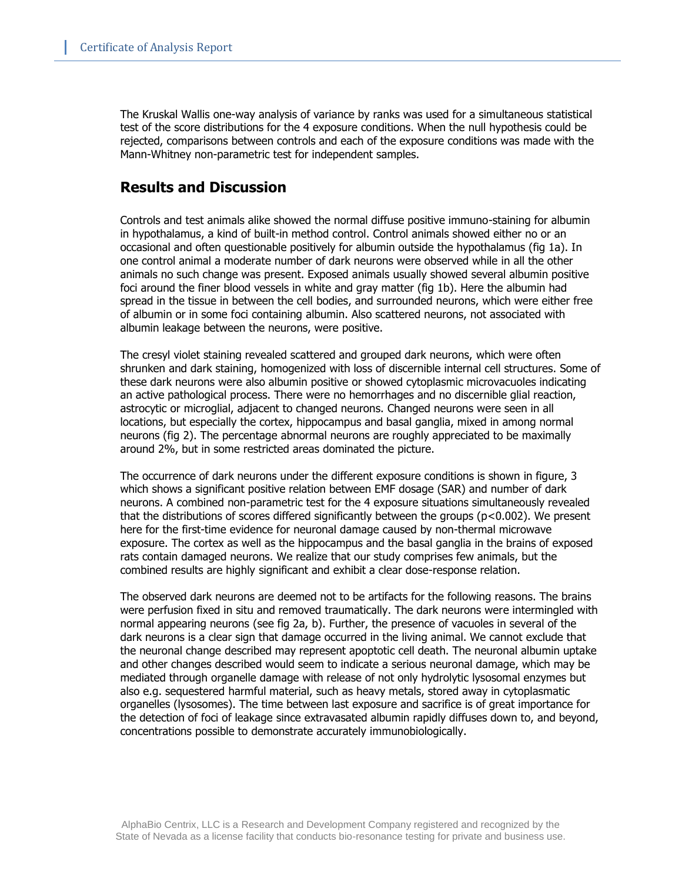The Kruskal Wallis one-way analysis of variance by ranks was used for a simultaneous statistical test of the score distributions for the 4 exposure conditions. When the null hypothesis could be rejected, comparisons between controls and each of the exposure conditions was made with the Mann-Whitney non-parametric test for independent samples.

# **Results and Discussion**

Controls and test animals alike showed the normal diffuse positive immuno-staining for albumin in hypothalamus, a kind of built-in method control. Control animals showed either no or an occasional and often questionable positively for albumin outside the hypothalamus (fig 1a). In one control animal a moderate number of dark neurons were observed while in all the other animals no such change was present. Exposed animals usually showed several albumin positive foci around the finer blood vessels in white and gray matter (fig 1b). Here the albumin had spread in the tissue in between the cell bodies, and surrounded neurons, which were either free of albumin or in some foci containing albumin. Also scattered neurons, not associated with albumin leakage between the neurons, were positive.

The cresyl violet staining revealed scattered and grouped dark neurons, which were often shrunken and dark staining, homogenized with loss of discernible internal cell structures. Some of these dark neurons were also albumin positive or showed cytoplasmic microvacuoles indicating an active pathological process. There were no hemorrhages and no discernible glial reaction, astrocytic or microglial, adjacent to changed neurons. Changed neurons were seen in all locations, but especially the cortex, hippocampus and basal ganglia, mixed in among normal neurons (fig 2). The percentage abnormal neurons are roughly appreciated to be maximally around 2%, but in some restricted areas dominated the picture.

The occurrence of dark neurons under the different exposure conditions is shown in figure, 3 which shows a significant positive relation between EMF dosage (SAR) and number of dark neurons. A combined non-parametric test for the 4 exposure situations simultaneously revealed that the distributions of scores differed significantly between the groups ( $p<0.002$ ). We present here for the first-time evidence for neuronal damage caused by non-thermal microwave exposure. The cortex as well as the hippocampus and the basal ganglia in the brains of exposed rats contain damaged neurons. We realize that our study comprises few animals, but the combined results are highly significant and exhibit a clear dose-response relation.

The observed dark neurons are deemed not to be artifacts for the following reasons. The brains were perfusion fixed in situ and removed traumatically. The dark neurons were intermingled with normal appearing neurons (see fig 2a, b). Further, the presence of vacuoles in several of the dark neurons is a clear sign that damage occurred in the living animal. We cannot exclude that the neuronal change described may represent apoptotic cell death. The neuronal albumin uptake and other changes described would seem to indicate a serious neuronal damage, which may be mediated through organelle damage with release of not only hydrolytic lysosomal enzymes but also e.g. sequestered harmful material, such as heavy metals, stored away in cytoplasmatic organelles (lysosomes). The time between last exposure and sacrifice is of great importance for the detection of foci of leakage since extravasated albumin rapidly diffuses down to, and beyond, concentrations possible to demonstrate accurately immunobiologically.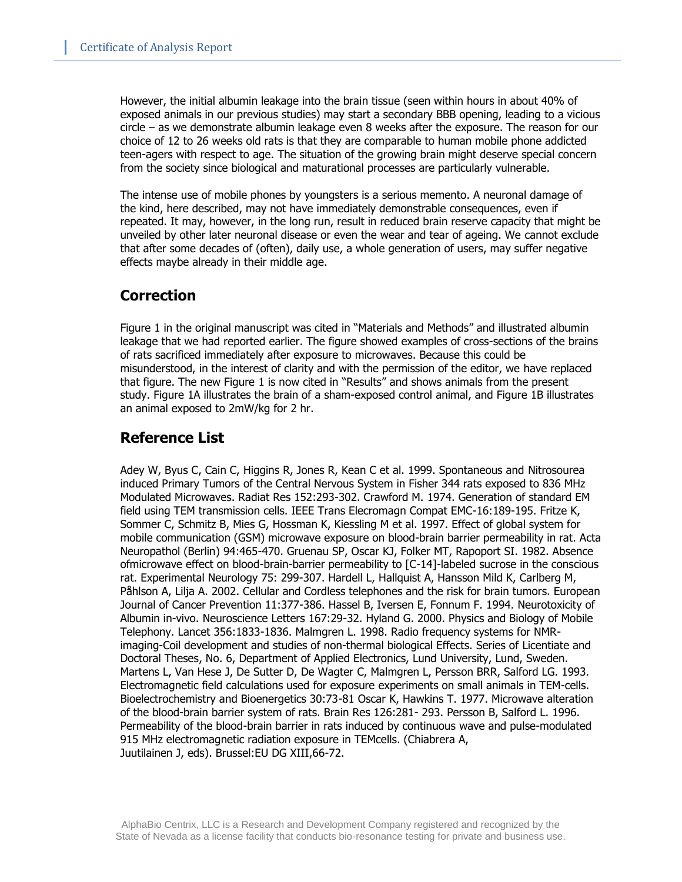However, the initial albumin leakage into the brain tissue (seen within hours in about 40% of exposed animals in our previous studies) may start a secondary BBB opening, leading to a vicious circle – as we demonstrate albumin leakage even 8 weeks after the exposure. The reason for our choice of 12 to 26 weeks old rats is that they are comparable to human mobile phone addicted teen-agers with respect to age. The situation of the growing brain might deserve special concern from the society since biological and maturational processes are particularly vulnerable.

The intense use of mobile phones by youngsters is a serious memento. A neuronal damage of the kind, here described, may not have immediately demonstrable consequences, even if repeated. It may, however, in the long run, result in reduced brain reserve capacity that might be unveiled by other later neuronal disease or even the wear and tear of ageing. We cannot exclude that after some decades of (often), daily use, a whole generation of users, may suffer negative effects maybe already in their middle age.

# **Correction**

Figure 1 in the original manuscript was cited in "Materials and Methods" and illustrated albumin leakage that we had reported earlier. The figure showed examples of cross-sections of the brains of rats sacrificed immediately after exposure to microwaves. Because this could be misunderstood, in the interest of clarity and with the permission of the editor, we have replaced that figure. The new Figure 1 is now cited in "Results" and shows animals from the present study. Figure 1A illustrates the brain of a sham-exposed control animal, and Figure 1B illustrates an animal exposed to 2mW/kg for 2 hr.

# **Reference List**

Adey W, Byus C, Cain C, Higgins R, Jones R, Kean C et al. 1999. Spontaneous and Nitrosourea induced Primary Tumors of the Central Nervous System in Fisher 344 rats exposed to 836 MHz Modulated Microwaves. Radiat Res 152:293-302. Crawford M. 1974. Generation of standard EM field using TEM transmission cells. IEEE Trans Elecromagn Compat EMC-16:189-195. Fritze K, Sommer C, Schmitz B, Mies G, Hossman K, Kiessling M et al. 1997. Effect of global system for mobile communication (GSM) microwave exposure on blood-brain barrier permeability in rat. Acta Neuropathol (Berlin) 94:465-470. Gruenau SP, Oscar KJ, Folker MT, Rapoport SI. 1982. Absence ofmicrowave effect on blood-brain-barrier permeability to [C-14]-labeled sucrose in the conscious rat. Experimental Neurology 75: 299-307. Hardell L, Hallquist A, Hansson Mild K, Carlberg M, Påhlson A, Lilja A. 2002. Cellular and Cordless telephones and the risk for brain tumors. European Journal of Cancer Prevention 11:377-386. Hassel B, Iversen E, Fonnum F. 1994. Neurotoxicity of Albumin in-vivo. Neuroscience Letters 167:29-32. Hyland G. 2000. Physics and Biology of Mobile Telephony. Lancet 356:1833-1836. Malmgren L. 1998. Radio frequency systems for NMRimaging-Coil development and studies of non-thermal biological Effects. Series of Licentiate and Doctoral Theses, No. 6, Department of Applied Electronics, Lund University, Lund, Sweden. Martens L, Van Hese J, De Sutter D, De Wagter C, Malmgren L, Persson BRR, Salford LG. 1993. Electromagnetic field calculations used for exposure experiments on small animals in TEM-cells. Bioelectrochemistry and Bioenergetics 30:73-81 Oscar K, Hawkins T. 1977. Microwave alteration of the blood-brain barrier system of rats. Brain Res 126:281- 293. Persson B, Salford L. 1996. Permeability of the blood-brain barrier in rats induced by continuous wave and pulse-modulated 915 MHz electromagnetic radiation exposure in TEMcells. (Chiabrera A, Juutilainen J, eds). Brussel:EU DG XIII,66-72.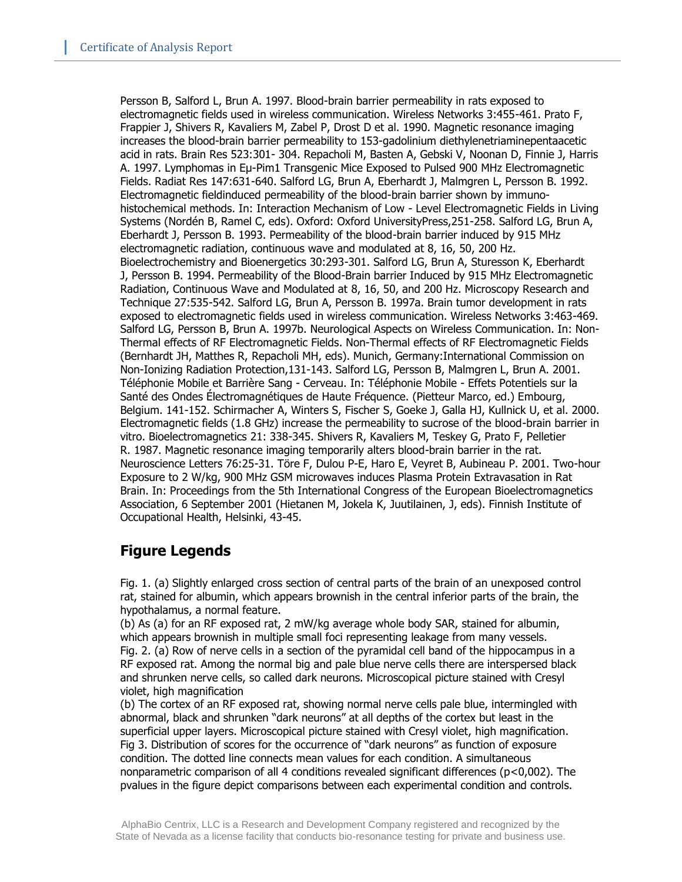Persson B, Salford L, Brun A. 1997. Blood-brain barrier permeability in rats exposed to electromagnetic fields used in wireless communication. Wireless Networks 3:455-461. Prato F, Frappier J, Shivers R, Kavaliers M, Zabel P, Drost D et al. 1990. Magnetic resonance imaging increases the blood-brain barrier permeability to 153-gadolinium diethylenetriaminepentaacetic acid in rats. Brain Res 523:301- 304. Repacholi M, Basten A, Gebski V, Noonan D, Finnie J, Harris A. 1997. Lymphomas in Eμ-Pim1 Transgenic Mice Exposed to Pulsed 900 MHz Electromagnetic Fields. Radiat Res 147:631-640. Salford LG, Brun A, Eberhardt J, Malmgren L, Persson B. 1992. Electromagnetic fieldinduced permeability of the blood-brain barrier shown by immunohistochemical methods. In: Interaction Mechanism of Low - Level Electromagnetic Fields in Living Systems (Nordén B, Ramel C, eds). Oxford: Oxford UniversityPress,251-258. Salford LG, Brun A, Eberhardt J, Persson B. 1993. Permeability of the blood-brain barrier induced by 915 MHz electromagnetic radiation, continuous wave and modulated at 8, 16, 50, 200 Hz. Bioelectrochemistry and Bioenergetics 30:293-301. Salford LG, Brun A, Sturesson K, Eberhardt J, Persson B. 1994. Permeability of the Blood-Brain barrier Induced by 915 MHz Electromagnetic Radiation, Continuous Wave and Modulated at 8, 16, 50, and 200 Hz. Microscopy Research and Technique 27:535-542. Salford LG, Brun A, Persson B. 1997a. Brain tumor development in rats exposed to electromagnetic fields used in wireless communication. Wireless Networks 3:463-469. Salford LG, Persson B, Brun A. 1997b. Neurological Aspects on Wireless Communication. In: Non-Thermal effects of RF Electromagnetic Fields. Non-Thermal effects of RF Electromagnetic Fields (Bernhardt JH, Matthes R, Repacholi MH, eds). Munich, Germany:International Commission on Non-Ionizing Radiation Protection,131-143. Salford LG, Persson B, Malmgren L, Brun A. 2001. Téléphonie Mobile et Barrière Sang - Cerveau. In: Téléphonie Mobile - Effets Potentiels sur la Santé des Ondes Électromagnétiques de Haute Fréquence. (Pietteur Marco, ed.) Embourg, Belgium. 141-152. Schirmacher A, Winters S, Fischer S, Goeke J, Galla HJ, Kullnick U, et al. 2000. Electromagnetic fields (1.8 GHz) increase the permeability to sucrose of the blood-brain barrier in vitro. Bioelectromagnetics 21: 338-345. Shivers R, Kavaliers M, Teskey G, Prato F, Pelletier R. 1987. Magnetic resonance imaging temporarily alters blood-brain barrier in the rat. Neuroscience Letters 76:25-31. Töre F, Dulou P-E, Haro E, Veyret B, Aubineau P. 2001. Two-hour Exposure to 2 W/kg, 900 MHz GSM microwaves induces Plasma Protein Extravasation in Rat Brain. In: Proceedings from the 5th International Congress of the European Bioelectromagnetics Association, 6 September 2001 (Hietanen M, Jokela K, Juutilainen, J, eds). Finnish Institute of Occupational Health, Helsinki, 43-45.

# **Figure Legends**

Fig. 1. (a) Slightly enlarged cross section of central parts of the brain of an unexposed control rat, stained for albumin, which appears brownish in the central inferior parts of the brain, the hypothalamus, a normal feature.

(b) As (a) for an RF exposed rat, 2 mW/kg average whole body SAR, stained for albumin, which appears brownish in multiple small foci representing leakage from many vessels. Fig. 2. (a) Row of nerve cells in a section of the pyramidal cell band of the hippocampus in a RF exposed rat. Among the normal big and pale blue nerve cells there are interspersed black and shrunken nerve cells, so called dark neurons. Microscopical picture stained with Cresyl violet, high magnification

(b) The cortex of an RF exposed rat, showing normal nerve cells pale blue, intermingled with abnormal, black and shrunken "dark neurons" at all depths of the cortex but least in the superficial upper layers. Microscopical picture stained with Cresyl violet, high magnification. Fig 3. Distribution of scores for the occurrence of "dark neurons" as function of exposure condition. The dotted line connects mean values for each condition. A simultaneous nonparametric comparison of all 4 conditions revealed significant differences (p<0,002). The pvalues in the figure depict comparisons between each experimental condition and controls.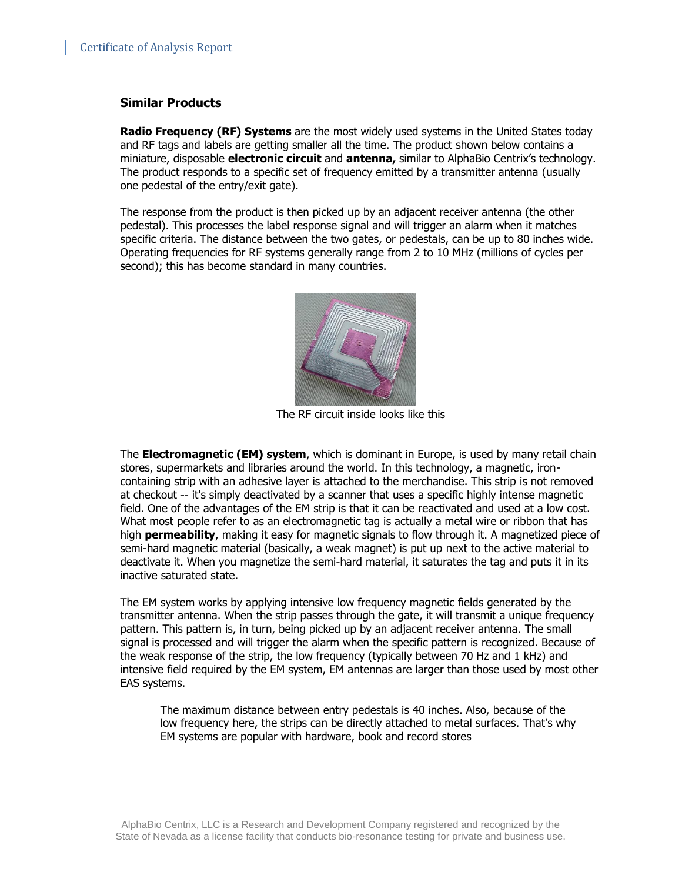#### **Similar Products**

**Radio Frequency (RF) Systems** are the most widely used systems in the United States today and RF tags and labels are getting smaller all the time. The product shown below contains a miniature, disposable **electronic circuit** and **antenna,** similar to AlphaBio Centrix's technology. The product responds to a specific set of frequency emitted by a transmitter antenna (usually one pedestal of the entry/exit gate).

The response from the product is then picked up by an adjacent receiver antenna (the other pedestal). This processes the label response signal and will trigger an alarm when it matches specific criteria. The distance between the two gates, or pedestals, can be up to 80 inches wide. Operating frequencies for RF systems generally range from 2 to 10 MHz (millions of cycles per second); this has become standard in many countries.



The RF circuit inside looks like this

The **Electromagnetic (EM) system**, which is dominant in Europe, is used by many retail chain stores, supermarkets and libraries around the world. In this technology, a magnetic, ironcontaining strip with an adhesive layer is attached to the merchandise. This strip is not removed at checkout -- it's simply deactivated by a scanner that uses a specific highly intense magnetic field. One of the advantages of the EM strip is that it can be reactivated and used at a low cost. What most people refer to as an electromagnetic tag is actually a metal wire or ribbon that has high **permeability**, making it easy for magnetic signals to flow through it. A magnetized piece of semi-hard magnetic material (basically, a weak magnet) is put up next to the active material to deactivate it. When you magnetize the semi-hard material, it saturates the tag and puts it in its inactive saturated state.

The EM system works by applying intensive low frequency magnetic fields generated by the transmitter antenna. When the strip passes through the gate, it will transmit a unique frequency pattern. This pattern is, in turn, being picked up by an adjacent receiver antenna. The small signal is processed and will trigger the alarm when the specific pattern is recognized. Because of the weak response of the strip, the low frequency (typically between 70 Hz and 1 kHz) and intensive field required by the EM system, EM antennas are larger than those used by most other EAS systems.

The maximum distance between entry pedestals is 40 inches. Also, because of the low frequency here, the strips can be directly attached to metal surfaces. That's why EM systems are popular with hardware, book and record stores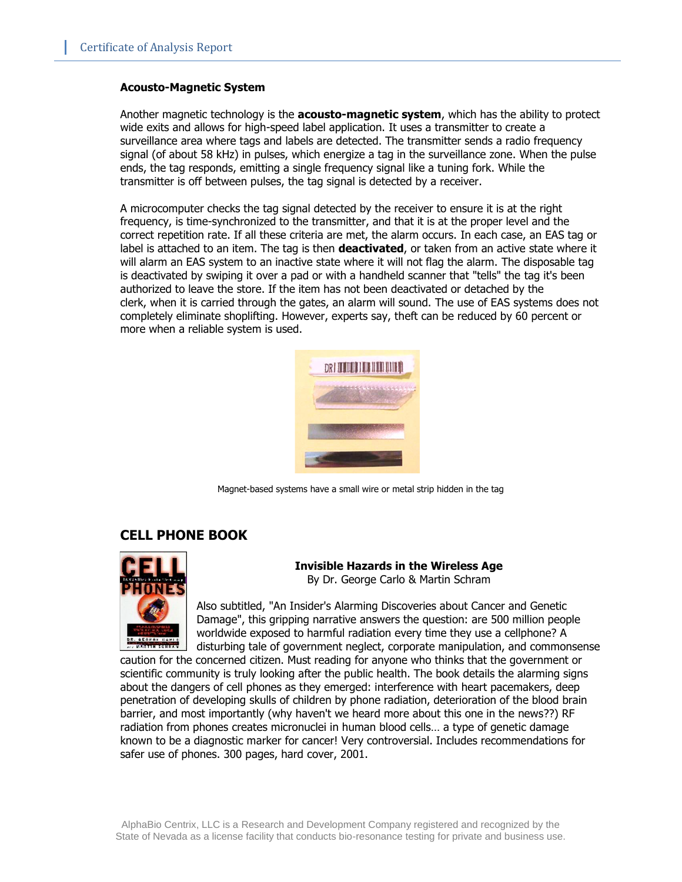#### **Acousto-Magnetic System**

Another magnetic technology is the **acousto-magnetic system**, which has the ability to protect wide exits and allows for high-speed label application. It uses a transmitter to create a surveillance area where tags and labels are detected. The transmitter sends a radio frequency signal (of about 58 kHz) in pulses, which energize a tag in the surveillance zone. When the pulse ends, the tag responds, emitting a single frequency signal like a tuning fork. While the transmitter is off between pulses, the tag signal is detected by a receiver.

A microcomputer checks the tag signal detected by the receiver to ensure it is at the right frequency, is time-synchronized to the transmitter, and that it is at the proper level and the correct repetition rate. If all these criteria are met, the alarm occurs. In each case, an EAS tag or label is attached to an item. The tag is then **deactivated**, or taken from an active state where it will alarm an EAS system to an inactive state where it will not flag the alarm. The disposable tag is deactivated by swiping it over a pad or with a handheld scanner that "tells" the tag it's been authorized to leave the store. If the item has not been deactivated or detached by the clerk, when it is carried through the gates, an alarm will sound. The use of EAS systems does not completely eliminate shoplifting. However, experts say, theft can be reduced by 60 percent or more when a reliable system is used.



Magnet-based systems have a small wire or metal strip hidden in the tag

# **CELL PHONE BOOK**



# **Invisible Hazards in the Wireless Age**

By Dr. George Carlo & Martin Schram

Also subtitled, "An Insider's Alarming Discoveries about Cancer and Genetic Damage", this gripping narrative answers the question: are 500 million people worldwide exposed to harmful radiation every time they use a cellphone? A disturbing tale of government neglect, corporate manipulation, and commonsense

caution for the concerned citizen. Must reading for anyone who thinks that the government or scientific community is truly looking after the public health. The book details the alarming signs about the dangers of cell phones as they emerged: interference with heart pacemakers, deep penetration of developing skulls of children by phone radiation, deterioration of the blood brain barrier, and most importantly (why haven't we heard more about this one in the news??) RF radiation from phones creates micronuclei in human blood cells… a type of genetic damage known to be a diagnostic marker for cancer! Very controversial. Includes recommendations for safer use of phones. 300 pages, hard cover, 2001.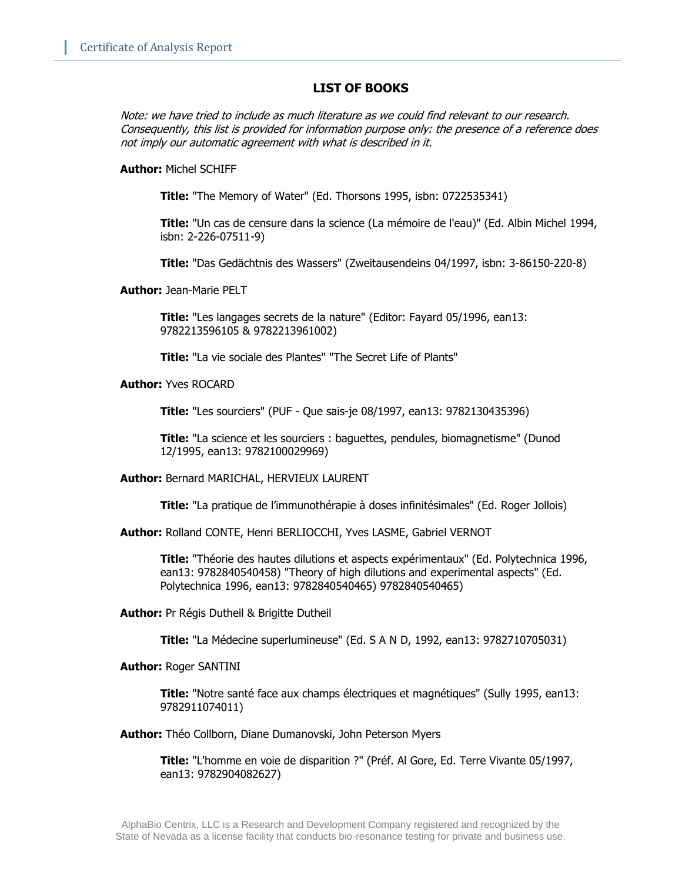#### **LIST OF BOOKS**

Note: we have tried to include as much literature as we could find relevant to our research. Consequently, this list is provided for information purpose only: the presence of a reference does not imply our automatic agreement with what is described in it.

#### **Author:** Michel SCHIFF

**Title:** "The Memory of Water" (Ed. Thorsons 1995, isbn: 0722535341)

**Title:** "Un cas de censure dans la science (La mémoire de l'eau)" (Ed. Albin Michel 1994, isbn: 2-226-07511-9)

**Title:** "Das Gedächtnis des Wassers" (Zweitausendeins 04/1997, isbn: 3-86150-220-8)

**Author:** Jean-Marie PELT

**Title:** "Les langages secrets de la nature" (Editor: Fayard 05/1996, ean13: 9782213596105 & 9782213961002)

**Title:** "La vie sociale des Plantes" "The Secret Life of Plants"

**Author:** Yves ROCARD

**Title:** "Les sourciers" (PUF - Que sais-je 08/1997, ean13: 9782130435396)

**Title:** "La science et les sourciers : baguettes, pendules, biomagnetisme" (Dunod 12/1995, ean13: 9782100029969)

**Author:** Bernard MARICHAL, HERVIEUX LAURENT

**Title:** "La pratique de l'immunothérapie à doses infinitésimales" (Ed. Roger Jollois)

**Author:** Rolland CONTE, Henri BERLIOCCHI, Yves LASME, Gabriel VERNOT

**Title:** "Théorie des hautes dilutions et aspects expérimentaux" (Ed. Polytechnica 1996, ean13: 9782840540458) "Theory of high dilutions and experimental aspects" (Ed. Polytechnica 1996, ean13: 9782840540465) 9782840540465)

**Author:** Pr Régis Dutheil & Brigitte Dutheil

**Title:** "La Médecine superlumineuse" (Ed. S A N D, 1992, ean13: 9782710705031)

**Author:** Roger SANTINI

**Title:** "Notre santé face aux champs électriques et magnétiques" (Sully 1995, ean13: 9782911074011)

**Author:** Théo Collborn, Diane Dumanovski, John Peterson Myers

**Title:** "L'homme en voie de disparition ?" (Préf. Al Gore, Ed. Terre Vivante 05/1997, ean13: 9782904082627)